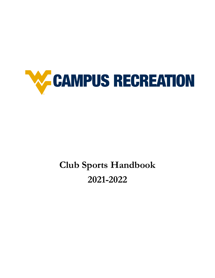

# **Club Sports Handbook 2021-2022**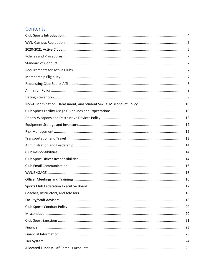# Contents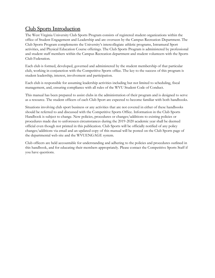### <span id="page-3-0"></span>Club Sports Introduction

The West Virginia University Club Sports Program consists of registered student organizations within the office of Student Engagement and Leadership and are overseen by the Campus Recreation Department. The Club Sports Program complements the University's intercollegiate athletic programs, Intramural Sport activities, and Physical Education Course offerings. The Club Sports Program is administered by professional and student staff members within the Campus Recreation department and student volunteers with the Sports Club Federation.

Each club is formed, developed, governed and administered by the student membership of that particular club, working in conjunction with the Competitive Sports office. The key to the success of this program is student leadership, interest, involvement and participation.

Each club is responsible for assuming leadership activities including but not limited to scheduling, fiscal management, and, ensuring compliance with all rules of the WVU Student Code of Conduct.

This manual has been prepared to assist clubs in the administration of their program and is designed to serve as a resource. The student officers of each Club Sport are expected to become familiar with both handbooks.

Situations involving club sport business or any activities that are not covered in either of these handbooks should be referred to and discussed with the Competitive Sports Office. Information in the Club Sports Handbook is subject to change. New policies, procedures or changes/additions to existing policies or procedures made due to unforeseen circumstances during the 2019-2020 academic year shall be deemed official even though not printed in this publication. Club Sports will be officially notified of any policy changes/additions via email and an updated copy of this manual will be posted on the Club Sports page of the departmental web site and the WVUENGAGE system.

Club officers are held accountable for understanding and adhering to the policies and procedures outlined in this handbook, and for educating their members appropriately. Please contact the Competitive Sports Staff if you have questions.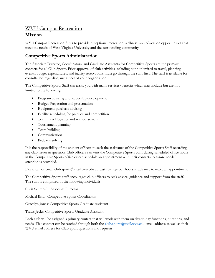#### <span id="page-4-0"></span>WVU Campus Recreation

#### **Mission**

WVU Campus Recreation Aims to provide exceptional recreation, wellness, and education opportunities that meet the needs of West Virginia University and the surrounding community.

#### **Competitive Sports Administration**

The Associate Director, Coordinators, and Graduate Assistants for Competitive Sports are the primary contacts for all Club Sports. Prior approval of club activities including but not limited to travel, planning events, budget expenditures, and facility reservations must go through the staff first. The staff is available for consultation regarding any aspect of your organization.

The Competitive Sports Staff can assist you with many services/benefits which may include but are not limited to the following:

- Program advising and leadership development
- Budget Preparation and presentation
- Equipment purchase advising
- Facility scheduling for practice and competition
- Team travel logistics and reimbursement
- Tournament planning
- Team building
- Communication
- Problem solving

It is the responsibility of the student officers to seek the assistance of the Competitive Sports Staff regarding any club issues in question. Club officers can visit the Competitive Sports Staff during scheduled office hours in the Competitive Sports office or can schedule an appointment with their contacts to assure needed attention is provided.

Please call or email club.sports@mail.wvu.edu at least twenty-four hours in advance to make an appointment.

The Competitive Sports staff encourages club officers to seek advice, guidance and support from the staff. The staff is comprised of the following individuals:

Chris Schmoldt: Associate Director

Michael Brito: Competitive Sports Coordinator

Gracelyn Jones: Competitive Sports Graduate Assistant

Travis Jecks: Competitive Sports Graduate Assistant

Each club will be assigned a primary contact that will work with them on day-to-day functions, questions, and needs. This contact can be reached through both the [club.sports@mail.wvu.edu](mailto:club.sports@mail.wvu.edu) email address as well as their WVU email address for Club Sport questions and requests.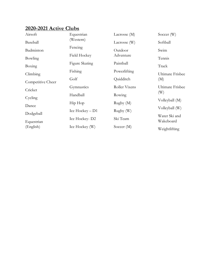#### <span id="page-5-0"></span>**2020 -2021 Active Clubs**

| Airsoft           | Equestrian        | Lacrosse $(M)$ | Soccer (W)       |
|-------------------|-------------------|----------------|------------------|
| Baseball          | (Western)         | Lacrosse (W)   | Softball         |
| Badminton         | Fencing           | Outdoor        | Swim             |
| Bowling           | Field Hockey      | Adventure      | Tennis           |
| Boxing            | Figure Skating    | Paintball      | Track            |
| Climbing          | Fishing           | Powerlifting   | Ultimate Frisbee |
| Competitive Cheer | Golf              | Quidditch      | (M)              |
|                   | Gymnastics        | Roller Vixens  | Ultimate Frisbee |
| Cricket           | Handball          | Rowing         | (W)              |
| Cycling           | Hip Hop           | Rugby(M)       | Volleyball (M)   |
| Dance             | Ice Hockey $- D1$ | Rugby (W)      | Volleyball (W)   |
| Dodgeball         | Ice Hockey-D2     | Ski Team       | Water Ski and    |
| Equestrian        |                   |                | Wakeboard        |
| (English)         | Ice Hockey (W)    | Soccer $(M)$   | Weightlifting    |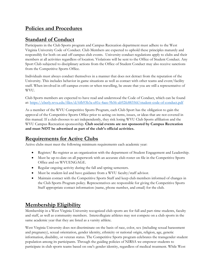# <span id="page-6-0"></span>**Policies and Procedures**

# <span id="page-6-1"></span>**Standard of Conduct**

Participants in the Club Sports program and Campus Recreation department must adhere to the West Virginia University Code of Conduct. Club Members are expected to uphold these principles maturely and responsibly for both on and off campus club events. University conduct regulations apply to clubs and their members at all activities regardless of location. Violations will be sent to the Office of Student Conduct. Any Sport Club subjected to disciplinary actions from the Office of Student Conduct may also receive sanctions from the Competitive Sports Office.

Individuals must always conduct themselves in a manner that does not detract from the reputation of the University. This includes behavior in game situations as well as contact with other teams and event/facility staff. When involved in off-campus events or when travelling, be aware that you are still a representative of WVU.

Club Sports members are expected to have read and understood the Code of Conduct, which can be found at:<https://eberly.wvu.edu/files/d/6fb93b3a-e81c-4aee-9b56-ab92fc88356f/student-code-of-conduct.pdf>

As a member of the WVU Competitive Sports Program, each Club Sport has the obligation to gain the approval of the Competitive Sports Office prior to acting on items, issues, or ideas that are not covered in this manual. If a club chooses to act independently, they risk losing WVU Club Sports affiliation and the WVU Campus Recreation sponsorship. **Club social events are not sponsored by Campus Recreation and must NOT be advertised as part of the club's official activities.**

# <span id="page-6-2"></span>**Requirements for Active Clubs**

Active clubs must meet the following minimum requirements each academic year:

- Register/ Re-register as an organization with the department of Student Engagement and Leadership.
- Must be up-to-date on all paperwork with an accurate club roster on file in the Competitive Sports Office and on WVUENGAGE.
- Regular ongoing activity during the fall and spring semesters.
- Must be student-led and have guidance from a WVU faculty/staff advisor.
- Maintain contact with the Competitive Sports Staff and keep club members informed of changes in the Club Sports Program policy. Representatives are responsible for giving the Competitive Sports Staff appropriate contact information (name, phone number, and email) for the club.

# <span id="page-6-3"></span>**Membership Eligibility**

Membership in a West Virginia University recognized club sports are for full and part-time students, faculty and staff, as well as community members. Intercollegiate athletes may not compete on a club sports in the same academic year that they are listed as a varsity athlete.

West Virginia University does not discriminate on the basis of race, color, sex (including sexual harassment and pregnancy), sexual orientation, gender identity, ethnicity or national origin, religion, age, genetic information, disability, or veteran status. The Competitive Sports program celebrates the transgender student population among its participants. Through the guiding policies of NIRSA we empower students to participate in club sports teams based on one's gender identity, regardless of medical treatment. While West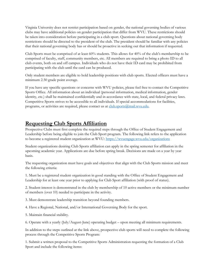Virginia University does not restrict participation based on gender, the national governing bodies of various clubs may have additional policies on gender participation that differ from WVU. These restrictions should be taken into consideration before participating in a club sport. Questions about national governing body restrictions should be directed to the president of the club. The president should be familiar with any policies that their national governing body has or should be proactive in seeking out that information if requested.

Club Sports must be comprised of at least 60% students. This allows for 40% of the club's membership to be comprised of faculty, staff, community members, etc. All members are required to bring a photo ID to all club events, both on and off campus. Individuals who do not have their ID card may be prohibited from participating with the club until the card can be produced.

Only student members are eligible to hold leadership positions with club sports. Elected officers must have a minimum 2.50 grade point average.

If you have any specific questions or concerns with WVU policies, please feel free to contact the Competitive Sports Office. All information about an individual (personal information, medical information, gender identity, etc.) shall be maintained confidentially and in accordance with state, local, and federal privacy laws. Competitive Sports strives to be accessible to all individuals. If special accommodations for facilities, programs, or activities are required, please contact us at [club.sports@mail.wvu.edu.](mailto:club.sports@mail.wvu.edu)

### <span id="page-7-0"></span>**Requesting Club Sports Affiliation**

Prospective Clubs must first complete the required steps through the Office of Student Engagement and Leadership before being eligible to join the Club Sport program. The following link refers to the application to become a registered student organization at WVU:<https://wvuengage.wvu.edu/organizations>

Student organizations desiring Club Sports affiliation can apply in the spring semester for affiliation in the upcoming academic year. Applications are due before spring break. Decisions are made on a year by year basis.

The requesting organization must have goals and objectives that align with the Club Sports mission and meet the following criteria:

1. Must be a registered student organization in good standing with the Office of Student Engagement and Leadership for at least one year prior to applying for Club Sport affiliation (with proof of status).

2. Student interest is demonstrated in the club by membership of 10 active members or the minimum number of members (over 10) needed to participate in the activity.

3. Must demonstrate leadership transition beyond founding members.

4. Have a Regional, National, and/or International Governing Body for the sport.

5. Maintain financial stability.

6. Operate with a yearly (July/August-June) operating budget – upon meeting all minimum requirements.

In addition to the steps outlined at the link above, prospective club sports will need to complete the following process through the Competitive Sports Program:

1. Submit a written proposal to the Competitive Sports Administration requesting the formation of a Club Sport and include the following items: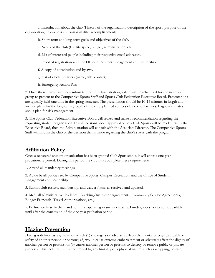a. Introduction about the club (History of the organization, description of the sport, purpose of the organization, uniqueness and sustainability, accomplishments).

b. Short-term and long-term goals and objectives of the club.

- c. Needs of the club (Facility space, budget, administration, etc.).
- d. List of interested people including their respective email addresses.
- e. Proof of registration with the Office of Student Engagement and Leadership.
- f. A copy of constitution and bylaws.
- g. List of elected officers (name, title, contact).
- h. Emergency Action Plan

2. Once these items have been submitted to the Administration, a date will be scheduled for the interested group to present to the Competitive Sports Staff and Sports Club Federation Executive Board. Presentations are typically held one time in the spring semester. The presentation should be 10-15 minutes in length and include plans for the long-term growth of the club, planned sources of income, facilities, leagues/affiliates and, a plan for risk management.

3. The Sports Club Federation Executive Board will review and make a recommendation regarding the requesting student organization. Initial decisions about approval of new Club Sports will be made first by the Executive Board, then the Administration will consult with the Associate Director. The Competitive Sports Staff will inform the club of the decision that is made regarding the club's status with the program.

#### <span id="page-8-0"></span>**Affiliation Policy**

Once a registered student organization has been granted Club Sport status, it will enter a one-year probationary period. During this period the club must complete these requirements:

1. Attend all mandatory meetings.

2. Abide by all policies set by Competitive Sports, Campus Recreation, and the Office of Student Engagement and Leadership

3. Submit club rosters, membership, and waiver forms as received and updated.

4. Meet all administrative deadlines (Coaching/Instructor Agreements, Community Service Agreements, Budget Proposals, Travel Authorizations, etc.).

5. Be financially self-reliant and continue operating in such a capacity. Funding does not become available until after the conclusion of the one-year probation period.

#### <span id="page-8-1"></span>**Hazing Prevention**

Hazing is defined as any situation which (1) endangers or adversely affects the mental or physical health or safety of another person or persons; (2) would cause extreme embarrassment or adversely affect the dignity of another person or persons; or (3) causes another person or persons to destroy or remove public or private property. This includes, but is not limited to, any brutality of a physical nature, such as whipping, beating,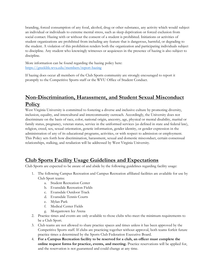branding, forced consumption of any food, alcohol, drug or other substance, any activity which would subject an individual or individuals to extreme mental stress, such as sleep deprivation or forced exclusion from social contact. Hazing with or without the consent of a student is prohibited. Initiations or activities of student organizations are prohibited from including any feature that is dangerous, harmful, or degrading to the student. A violation of this prohibition renders both the organization and participating individuals subject to discipline. Any student who knowingly witnesses or acquiesces in the presence of hazing is also subject to discipline.

More information can be found regarding the hazing policy here: <https://greeklife.wvu.edu/members/report-hazing>

If hazing does occur all members of the Club Sports community are strongly encouraged to report it promptly to the Competitive Sports staff or the WVU Office of Student Conduct.

# <span id="page-9-0"></span>**Non-Discrimination, Harassment, and Student Sexual Misconduct Policy**

West Virginia University is committed to fostering a diverse and inclusive culture by promoting diversity, inclusion, equality, and intercultural and intercommunity outreach. Accordingly, the University does not discriminate on the basis of race, color, national origin, ancestry, age, physical or mental disability, marital or family status, pregnancy, veteran status, service in the uniformed services (as defined in state and federal law), religion, creed, sex, sexual orientation, genetic information, gender identity, or gender expression in the administration of any of its educational programs, activities, or with respect to admission or employment. This Policy sets forth how discrimination, harassment, sexual and domestic misconduct, certain consensual relationships, stalking, and retaliation will be addressed by West Virginia University.

#### <span id="page-9-1"></span>**Club Sports Facility Usage Guidelines and Expectations**

Club Sports are expected to be aware of and abide by the following guidelines regarding facility usage:

- 1. The following Campus Recreation and Campus Recreation affiliated facilities are available for use by Club Sport teams:
	- a. Student Recreation Center
	- b. Evansdale Recreation Fields
	- c. Evansdale Outdoor Track
	- d. Evansdale Tennis Courts
	- e. Mylan Park
	- f. Medical Center Fields
	- g. Morgantown Ice Arena
- 2. Practice times and events are only available to those clubs who meet the minimum requirements to be a Club Sport.
- 3. Club teams are not allowed to share practice spaces and times unless it has been approved by the Competitive Sports staff. If clubs are practicing together without approval, both teams forfeit future practice times a determined by the Sports Club Federation Executive Board.
- 4. **For a Campus Recreation facility to be reserved for a club, an officer must complete the online request forms for practice, events, and meeting.** Practice reservations will be applied for, and the reservation is not guaranteed and could change at any time.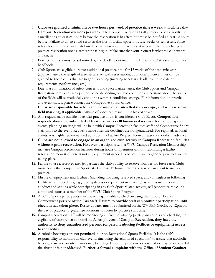- 5. **Clubs are granted a minimum or two hours per week of practice time a week at facilities that Campus Recreation oversees per week.** The Competitive Sports Staff prefers to be be notified of cancellations at least 24 hours before the reservation is in effect but must be notified at least 12 hours before. Failure to do so could result in the loss of facility space in future weeks or semesters. Since schedules are printed and distributed to many users of the facilities, it is very difficult to change a practice reservation once a semester has begun. Make sure that your request is what the club wants and needs.
- 6. Practice requests must be submitted by the deadline outlined in the Important Dates section of this handbook.
- 7. Club Sports are eligible to request additional practice time for 15 weeks of the academic year (approximately the length of a semester). As with reservations, additional practice times can be granted to those clubs that are in good standing (meeting necessary deadlines, up to date on requirements, performance, etc.).
- 8. Due to a combination of safety concerns and space maintenance, the Club Sports and Campus Recreation complexes are open or closed depending on field conditions. Decisions about the status of the fields will be made daily and/or as weather conditions change. For information on practice and event status, please contact the Competitive Sports office.
- 9. **Clubs are responsible for set-up and cleanup of all sites that they occupy, and will assist with field marking, if applicable.** Misuse of space can result in the loss of space.
- 10. Any request made outside of regular practice hours is considered a Club Event. **Competition requests should be submitted at least two weeks (10 business days) in advance.** For special events, planning meetings will be held with Campus Recreation facilities staff and Competitive Sports staff prior to the event. Requests made after the deadlines are not guaranteed. For regional/national events, it is highly recommended you submit a Facility Request Form at least six months in advance.
- **11. Clubs are not allowed to engage in an organized club activity in Campus Recreation facilities without a prior reservation.** However, participants with a WVU Campus Recreation Membership may use Campus Recreation facilities during hours of operation without submitting a facility reservation request if there is not any equipment needed to be set up and organized practices are not taking place.
- 12. Failure to use a reserved area jeopardizes the club's ability to reserve facilities for future use. Clubs must notify the Competitive Sports staff at least 12 hours before the start of an event to include practice.
- 13. Misuse of equipment and facilities (including not using reserved space, and/or neglect in following facility – use procedures, e.g., leaving debris or equipment in a facility) as well as inappropriate conduct and actions while participating in any Club Sport related activity, will jeopardize the club's continued status as a member of the WVU Club Sports Program.
- 14. All Club Sports participants must be willing and able to check in using their photo ID with Competitive Sports or Mylan Park Staff. **Failure to provide staff can prohibit participation until check in has taken place.** Roster updates must be submitted on the WVUENGAGE by 12pm on the day of practice to guarantee additions to roster by practice start time.
- **15.** Campus Recreation staff will be monitoring all facilities--taking participant counts and checking the eligibility of users when appropriate**. As employees of Campus Recreation, they have the authority to deny unauthorized persons (or persons abusing facilities or equipment) access to the facility.**
- **16.** Alcoholic beverages are not permitted in or on Recreational Sports Facilities. It is the club's responsibility to monitor all club events (including the actions of spectators) to assure that alcoholic beverages are not on site. Games may be delayed until the problem is corrected or may be canceled if the situation is not addressed. **Further, a formal complaint with the Office of Student Conduct**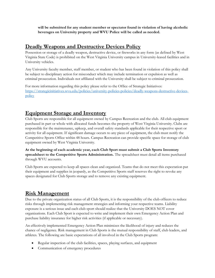**will be submitted for any student member or spectator found in violation of having alcoholic beverages on University property and WVU Police will be called as needed.**

#### <span id="page-11-0"></span>**Deadly Weapons and Destructive Devices Policy**

Possession or storage of a deadly weapon, destructive device, or fireworks in any form (as defined by West Virginia State Code) is prohibited on the West Virginia University campus in University-leased facilities and in University vehicles.

Any University faculty member, staff member, or student who has been found in violation of this policy shall be subject to disciplinary action for misconduct which may include termination or expulsion as well as criminal prosecution. Individuals not affiliated with the University shall be subject to criminal prosecution.

For more information regarding this policy please refer to the Office of Strategic Initiatives: [https://strategicinitiatives.wvu.edu/policies/university-policies-policies/deadly-weapons-destructive-devices](https://strategicinitiatives.wvu.edu/policies/university-policies-policies/deadly-weapons-destructive-devices-policy)[policy](https://strategicinitiatives.wvu.edu/policies/university-policies-policies/deadly-weapons-destructive-devices-policy)

#### <span id="page-11-1"></span>**Equipment Storage and Inventory**

Club Sports are responsible for all equipment owned by Campus Recreation and the club. All club equipment purchased in part or whole with allocated funds becomes the property of West Virginia University. Clubs are responsible for the maintenance, upkeep, and overall safety standards applicable for their respective sport or activity for all equipment. If significant damage occurs to any piece of equipment, the club must notify the Competitive Sports Office within 48 hours. Campus Recreation can provide specific space for storage of club equipment owned by West Virginia University.

**At the beginning of each academic year, each Club Sport must submit a Club Sports Inventory spreadsheet to the Competitive Sports Administration.** The spreadsheet must detail all items purchased through WVU accounts.

Club Sports are expected to keep all spaces clean and organized. Teams that do not meet this expectation put their equipment and supplies in jeopardy, as the Competitive Sports staff reserves the right to revoke any spaces designated for Club Sports storage and to remove any existing equipment.

#### <span id="page-11-2"></span>**Risk Management**

Due to the private organization status of all Club Sports, it is the responsibility of the club officers to reduce risks through implementing risk management strategies and informing your respective teams. Liability exposure is a serious issue and each club sport should realize that the University DOES NOT cover organizations. Each Club Sport is expected to write and implement their own Emergency Action Plan and purchase liability insurance for higher risk activities (if applicable or necessary).

An effectively implemented Emergency Action Plan minimizes the likelihood of injury and reduces the chance of negligence. Risk management in Club Sports is the mutual responsibility of staff, club leaders, and athletes. The following are basic expectations of all involved in the Club Sports program:

- Regular inspection of the club facilities, spaces, playing surfaces, and equipment
- Communication of emergency procedures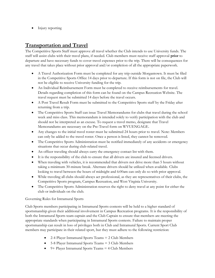• Injury reporting

# <span id="page-12-0"></span>**Transportation and Travel**

The Competitive Sports Staff must approve all travel whether the Club intends to use University funds. The staff will assist clubs with their travel plans, if needed. Club members must receive staff approval **prior** to departure and have necessary funds to cover travel expenses prior to the trip. There will be consequences for any travel that takes place without prior approval and/or completion of all the appropriate paperwork.

- A Travel Authorization Form must be completed for any trip outside Morgantown. It must be filed in the Competitive Sports Office 14 days prior to departure. If this form is not on file, the Club will not be eligible to receive University funding for the trip.
- An Individual Reimbursement Form must be completed to receive reimbursements for travel. Details regarding completion of this form can be found on the Campus Recreation Website. The travel request must be submitted 14 days before the travel occurs.
- A Post Travel Result Form must be submitted to the Competitive Sports staff by the Friday after returning from a trip.
- The Competitive Sports Staff can issue Travel Memorandums for clubs that travel during the school week and miss class. This memorandum is intended solely to verify participation with the club and should not be interpreted as an excuse. To request a travel memo, designate that Travel Memorandums are necessary on the Pre-Travel form on WVUENGAGE.
- Any changes to the initial travel roster must be submitted 24 hours prior to travel. Note: Members can only be added to the travel roster. Once a person is listed, they cannot be removed.
- The Competitive Sports Administration must be notified immediately of any accidents or emergency situations that occur during club-related travel.
- An officer traveling should always carry the emergency contact list with them.
- It is the responsibility of the club to ensure that all drivers are insured and licensed drivers.
- When traveling with vehicles, it is recommended that drivers not drive more than 5 hours without taking a minimum 30-minute break. Alternate drivers should be utilized when available. Clubs looking to travel between the hours of midnight and 6:00am can only do so with prior approval.
- While traveling all clubs should always act professional, as they are representatives of their clubs, the Competitive Sports program, Campus Recreation, and West Virginia University.
- The Competitive Sports Administration reserves the right to deny travel at any point for either the club or individuals on the club.

#### Governing Rules for Intramural Sports

Club Sports members participating in Intramural Sports contests will be held to a higher standard of sportsmanship given their additional involvement in Campus Recreation programs. It is the responsibility of both the Intramural Sports team captain and the Club Captain to ensure that members are meeting the appropriate standards when participating in Intramural Sports contests. Failure to maintain proper sportsmanship can result in loss of privileges both in Club and Intramural Sports. Current Sport Club members may participate in their related sport, but they must adhere to the following restriction:

- 2-4 Player Intramural Sports Teams = 2 Club Members
- 5-8 Player Intramural Sports Teams = 3 Club Members
- 9+ Player Intramural Sports Teams = 4 Club Members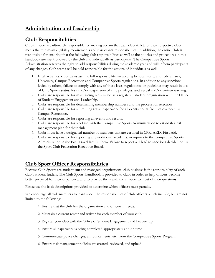# <span id="page-13-0"></span>**Administration and Leadership**

# <span id="page-13-1"></span>**Club Responsibilities**

Club Officers are ultimately responsible for making certain that each club athlete of their respective club meets the minimum eligibility requirements and participant responsibilities. In addition, the entire Club is responsible for ensuring that the following club responsibilities as well as the policies and procedures in this handbook are met/followed by the club and individually as participants. The Competitive Sports Administration reserves the right to add responsibilities during the academic year and will inform participants of any changes. Club teams will be held responsible for the actions of individuals as well.

- 1. In all activities, club teams assume full responsibility for abiding by local, state, and federal laws; University, Campus Recreation and Competitive Sports regulations. In addition to any sanctions levied by others, failure to comply with any of these laws, regulations, or guidelines may result in loss of Club Sports status, loss and/or suspension of club privileges, and verbal and/or written warning.
- 2. Clubs are responsible for maintaining registration as a registered student organization with the Office of Student Engagement and Leadership.
- 3. Clubs are responsible for determining membership numbers and the process for selection.
- 4. Clubs are responsible for submitting travel paperwork for all events not at facilities overseen by Campus Recreation.
- 5. Clubs are responsible for reporting all events and results.
- 6. Clubs are responsible for working with the Competitive Sports Administration to establish a risk management plan for their club.
- 7. Clubs must have a designated number of members that are certified in CPR/AED/First Aid.
- 8. Clubs are responsible for reporting any violations, accidents, or injuries to the Competitive Sports Administration in the Post Travel Result Form. Failure to report will lead to sanctions decided on by the Sport Club Federation Executive Board.

# <span id="page-13-2"></span>**Club Sport Officer Responsibilities**

Because Club Sports are student-run and managed organizations, club business is the responsibility of each club's student leaders. The Club Sports Handbook is provided to clubs in order to help officers become better prepared for their experience, and to provide them with the answers to most of their questions.

Please use the basic descriptions provided to determine which officers must partake.

We encourage all club members to learn about the responsibilities of club officers which include, but are not limited to the following:

- 1. Ensure that the club has the organization and officers it needs.
- 2. Maintain a current roster and waiver for each member of your club.
- 3. Register your club with the Office of Student Engagement and Leadership.
- 4. Ensure all paperwork is being completed appropriately and on time.
- 5. Communicate policy changes, announcements, etc. from the Competitive Sports Program.
- 6. Ensure risk management policies are created, reviewed, and upheld.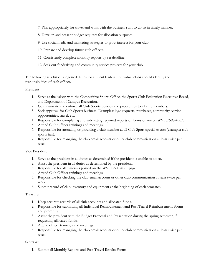- 7. Plan appropriately for travel and work with the business staff to do so in timely manner.
- 8. Develop and present budget requests for allocation purposes.
- 9. Use social media and marketing strategies to grow interest for your club.
- 10. Prepare and develop future club officers.
- 11. Consistently complete monthly reports by set deadline.
- 12. Seek out fundraising and community service projects for your club.

The following is a list of suggested duties for student leaders. Individual clubs should identify the responsibilities of each officer.

#### President

- 1. Serve as the liaison with the Competitive Sports Office, the Sports Club Federation Executive Board, and Department of Campus Recreation.
- 2. Communicate and enforce all Club Sports policies and procedures to all club members.
- 3. Seek approval for Club Sports business. Examples: logo requests, purchases, community service opportunities, travel, etc.
- 4. Responsible for completing and submitting required reports or forms online on WVUENGAGE.
- 5. Attend Club Officer trainings and meetings.
- 6. Responsible for attending or providing a club member at all Club Sport special events (example: club sports fair).
- 7. Responsible for managing the club email account or other club communication at least twice per week.

#### Vice President

- 1. Serve as the president in all duties as determined if the president is unable to do so.
- 2. Assist the president in all duties as determined by the president.
- 3. Responsible for all materials posted on the WVUENGAGE page.
- 4. Attend Club Officer trainings and meetings
- 5. Responsible for checking the club email account or other club communication at least twice per week.
- 6. Submit record of club inventory and equipment at the beginning of each semester.

#### Treasurer

- 1. Keep accurate records of all club accounts and allocated funds.
- 2. Responsible for submitting all Individual Reimbursement and Post Travel Reimbursement Forms and promptly.
- 3. Assist the president with the Budget Proposal and Presentation during the spring semester, if requesting allocated funds.
- 4. Attend officer trainings and meetings.
- 5. Responsible for managing the club email account or other club communication at least twice per week.

#### Secretary

1. Submit all Monthly Reports and Post Travel Results Forms.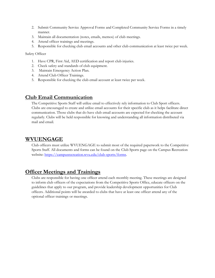- 2. Submit Community Service Approval Forms and Completed Community Service Forms in a timely manner.
- 3. Maintain all documentation (notes, emails, memos) of club meetings.
- 4. Attend officer trainings and meetings.
- 5. Responsible for checking club email accounts and other club communication at least twice per week.

Safety Officer

- 1. Have CPR, First Aid, AED certification and report club injuries.
- 2. Check safety and standards of club equipment.
- 3. Maintain Emergency Action Plan.
- 4. Attend Club Officer Trainings.
- 5. Responsible for checking the club email account at least twice per week.

### <span id="page-15-0"></span>**Club Email Communication**

The Competitive Sports Staff will utilize email to effectively rely information to Club Sport officers. Clubs are encouraged to create and utilize email accounts for their specific club as it helps facilitate direct communication. Those clubs that do have club email accounts are expected for checking the account regularly. Clubs will be held responsible for knowing and understanding all information distributed via mail and email.

#### <span id="page-15-1"></span>**WVUENGAGE**

Club officers must utilize WVUENGAGE to submit most of the required paperwork to the Competitive Sports Staff. All documents and forms can be found on the Club Sports page on the Campus Recreation website: https://campusrecreation.wvu.edu/club-sports/forms.

#### <span id="page-15-2"></span>**Officer Meetings and Trainings**

Clubs are responsible for having one officer attend each monthly meeting. These meetings are designed to inform club officers of the expectations from the Competitive Sports Office, educate officers on the guidelines that apply to our program, and provide leadership development opportunities for Club officers. Additional points will be awarded to clubs that have at least one officer attend any of the optional officer trainings or meetings.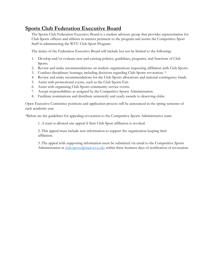### <span id="page-16-0"></span>**Sports Club Federation Executive Board**

The Sports Club Federation Executive Board is a student advisory group that provides representation for Club Sports officers and athletes in matters pertinent to the program and assists the Competitive Sport Staff in administering the WVU Club Sport Program.

The duties of the Federation Executive Board will include but not be limited to the following:

- 1. Develop and/or evaluate new and existing policies, guidelines, programs, and functions of Club Sports.
- 2. Review and make recommendations on student organizations requesting affiliation with Club Sports.
- 3. Conduct disciplinary hearings; including decisions regarding Club Sports revocation. \*
- 4. Review and make recommendations for the Club Sports allocations and national contingency funds.
- 5. Assist with promotional events, such as the Club Sports Fair.
- 6. Assist with organizing Club Sports community service events.
- 7. Accept responsibilities as assigned by the Competitive Sports Administration.
- 8. Facilitate nominations and distribute semesterly and yearly awards to deserving clubs.

Open Executive Committee positions and application process will be announced in the spring semester of each academic year.

\*Below are the guidelines for appealing revocation to the Competitive Sports Administrative team.

1. A team is allowed one appeal if their Club Sport affiliation is revoked.

2. This appeal must include new information to support the organization keeping their affiliation.

3. The appeal with supporting information must be submitted via email to the Competitive Sports Administration at [club.sports@mail.wvu.edu](mailto:club.sports@mail.wvu.edu) within three business days of notification of revocation.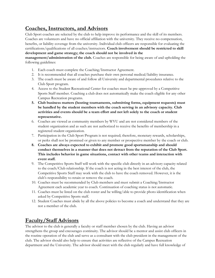# <span id="page-17-0"></span>**Coaches, Instructors, and Advisors**

Club Sport coaches are selected by the club to help improve its performance and the skill of its members. Coaches are volunteers and have no official affiliation with the university. They receive no compensation, benefits, or liability coverage from the university. Individual club officers are responsible for evaluating the certifications/qualifications of all coaches/instructors. **Coach involvement should be restricted to skill development and game strategy; the coach should not be involved in the** 

**management/administration of the club.** Coaches are responsible for being aware of and upholding the following guidelines:

- 1. Each coach must complete the Coaching/Instructor Agreement.
- 2. It is recommended that all coaches purchase their own personal medical/liability insurance.
- 3. The coach must be aware of and follow all University and departmental procedures relative to the Club Sport program.
- 4. Access to the Student Recreational Center for coaches must be pre-approved by a Competitive Sports Staff member. Coaching a club does not automatically make the coach eligible for any other Campus Recreation programs.
- **5. Club business matters (hosting tournaments, submitting forms, equipment requests) must be handled by the student members with the coach serving in an advisory capacity. Club activities and events should be a team effort and not left solely to the coach or student representative.**
- 6. Coaches are viewed as community members by WVU and are not considered members of the student organization and as such are not authorized to receive the benefits of membership in a registered student organization.
- 7. Participation in the Club Sport Program is not required; therefore, monetary rewards, scholarships, or perks shall not be promised or given to any member or prospective member by the coach or club.
- **8. Coaches are always expected to exhibit and promote good sportsmanship and should conduct themselves in a manner that does not detract from the reputation of the Club Sport. This includes behavior in game situations, contact with other teams and interaction with event staff.**
- 9. The Competitive Sports Staff will work with the specific club directly in an advisory capacity related to the coach/Club relationship. If the coach is not acting in the best interest of the club, the Competitive Sports Staff may work with the club to have the coach removed. However, it is the club's responsibility to retain or remove the coach.
- 10. Coaches must be recommended by Club members and must submit a Coaching/Instructor Agreement each academic year to coach. Continuation of coaching status is not automatic.
- 11. Coaches must be listed on the club roster and be willing/able to provide photo identification when asked by Competitive Sports staff.
- 12. Student Coaches must abide by all the above policies to become a coach and understand that they are not a member of the club.

#### <span id="page-17-1"></span>**Faculty/Staff Advisors**

The advisor to the club is generally a faculty or staff member chosen by the club. Having an advisor strengthens the group and encourages continuity. The advisor should be a mentor and assist club officers in the routine operation of the club and serve as a consultant with the club president in the management of the club. The advisor should also help to ensure that activities are reflective of the Campus Recreation department and the University. The advisor should meet with the club regularly and have full knowledge of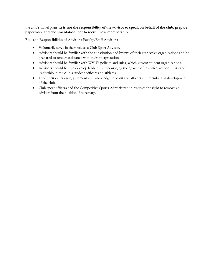#### the club's travel plans. **It is not the responsibility of the advisor to speak on behalf of the club, prepare paperwork and documentation, nor to recruit new membership.**

Role and Responsibilities of Advisors: Faculty/Staff Advisors:

- Voluntarily serve in their role as a Club Sport Advisor.
- Advisors should be familiar with the constitution and bylaws of their respective organizations and be prepared to render assistance with their interpretation.
- Advisors should be familiar with WVU's policies and rules, which govern student organizations.
- Advisors should help to develop leaders by encouraging the growth of initiative, responsibility and leadership in the club's student officers and athletes.
- Lend their experience, judgment and knowledge to assist the officers and members in development of the club.
- Club sport officers and the Competitive Sports Administration reserves the right to remove an advisor from the position if necessary.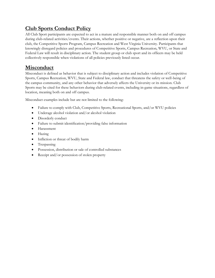# <span id="page-19-0"></span>**Club Sports Conduct Policy**

All Club Sport participants are expected to act in a mature and responsible manner both on and off campus during club-related activities/events. Their actions, whether positive or negative, are a reflection upon their club, the Competitive Sports Program, Campus Recreation and West Virginia University. Participants that knowingly disregard policies and procedures of Competitive Sports, Campus Recreation, WVU, or State and Federal Law will result in disciplinary action. The student group or club sport and its officers may be held collectively responsible when violations of all policies previously listed occur.

# <span id="page-19-1"></span>**Misconduct**

Misconduct is defined as behavior that is subject to disciplinary action and includes violation of Competitive Sports, Campus Recreation, WVU, State and Federal law, conduct that threatens the safety or well-being of the campus community, and any other behavior that adversely affects the University or its mission. Club Sports may be cited for these behaviors during club-related events, including in-game situations, regardless of location, meaning both on and off campus.

Misconduct examples include but are not limited to the following:

- Failure to comply with Club, Competitive Sports, Recreational Sports, and/or WVU policies
- Underage alcohol violation and/or alcohol violation
- Disorderly conduct
- Failure to submit identification/providing false information
- Harassment
- Hazing
- Infliction or threat of bodily harm
- Trespassing
- Possession, distribution or sale of controlled substances
- Receipt and/or possession of stolen property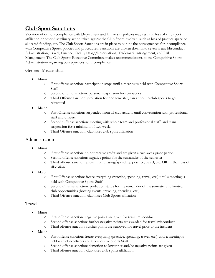# <span id="page-20-0"></span>**Club Sport Sanctions**

Violation of or non-compliance with Department and University policies may result in loss of club sport affiliation or other disciplinary action taken against the Club Sport involved, such as loss of practice space or allocated funding, etc. The Club Sports Sanctions are in place to outline the consequences for incompliance with Competitive Sports policies and procedures. Sanctions are broken down into seven areas: Misconduct, Administration, Travel, Finance, Facility Usage/Reservations, Trademark Infringement, and Risk Management. The Club Sports Executive Committee makes recommendations to the Competitive Sports Administration regarding consequences for incompliance.

#### General Misconduct

- Minor
	- o First offense sanction: participation stops until a meeting is held with Competitive Sports Staff
	- o Second offense sanction: personal suspension for two weeks
	- o Third Offense sanction: probation for one semester, can appeal to club sports to get reinstated
- Major
	- o First Offense sanction: suspended from all club activity until conversation with professional staff and officers
	- o Second Offense sanction: meeting with whole team and professional staff, and team suspension for a minimum of two weeks
	- o Third Offense sanction: club loses club sport affiliation

#### Administration

- Minor
	- o First offense sanction: do not receive credit and are given a two-week grace period
	- o Second offense sanction: negative points for the remainder of the semester
	- o Third offense sanction: prevent purchasing/spending, practice, travel, etc. OR further loss of allocation
- Major
	- o First Offense sanction: freeze everything (practice, spending, travel, etc.) until a meeting is held with Competitive Sports Staff
	- o Second Offense sanction: probation status for the remainder of the semester and limited club opportunities (hosting events, traveling, spending, etc.)
	- o Third Offense sanction: club loses Club Sports affiliation

#### Travel

- Minor
	- o First offense sanction: negative points are given for travel misconduct
	- o Second offense sanction: further negative points are awarded for travel misconduct
	- o Third offense sanction: further points are removed for travel prior to the incident
- Major
	- o First offense sanction: freeze everything (practice, spending, travel, etc.) until a meeting is held with club officers and Competitive Sports Staff
	- o Second offense sanction: demotion to lower tier and/or negative points are given
	- o Third offense sanction: club loses club sports affiliation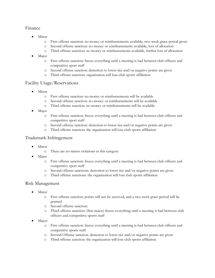#### Finance

- Minor
	- o First offense sanction: no money or reimbursements available, two-week grace period given
	- o Second offense sanction: no money or reimbursements available, loss of allocation
	- o Third offense sanction: no money or reimbursements available, further loss of allocation
- Major
	- o First offense sanction: freeze everything until a meeting is had between club officers and competitive sport staff
	- o Second offense sanction: demotion to lower tier and/or negative points are given
	- o Third offense sanction: organization will lose club sports affiliation

#### Facility Usage/Reservations

- Minor
	- o First offense sanction: no money or reimbursements will be available
	- o Second offense sanction: no money or reimbursements will be available
	- o Third offense sanction: no money or reimbursements will be available
- Major
	- o First offense sanction: freeze everything until a meeting is had between club officers and competitive sport staff
	- o Second offense sanction: demotion to lower tier and/or negative points are given
	- o Third offense sanction: the organization will lose club sports affiliation

#### Trademark Infringement

- Minor
	- o There are no minor violations in this category
- Major
	- o Frist offense sanction: freeze everything until a meeting is had between club officers and competitive sport staff
	- o Second offense sanctions: demotion to lower tier and/or negative points are given
	- o Third offense sanctions: the organization will lose club sports affiliation

#### Risk Management

- Minor
	- o First offense sanction: points will not be received, and a two-week grace period will be granted
	- o Second offense sanction:
	- o Third offense sanction: (first major) freeze everything until a meeting is had between club officers and competitive sports staff
- Major:
	- o First offense sanction: freeze everything until a meeting is had between club officers and competitive sports staff
	- o Second Offense sanction: demotion to lower tier and/or negative points are given
	- o Third offense sanction: the organization will lose club sports affiliation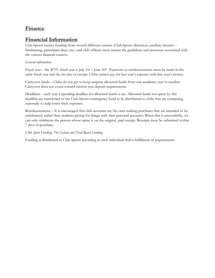### <span id="page-22-0"></span>**Finance**

### <span id="page-22-1"></span>**Financial Information**

Club Sports receive funding from several different sources (Club Sports allocation, auxiliary income – fundraising, participant dues, etc.) and club officers must master the guidelines and processes associated with the various financial sources.

#### *General information*

Fiscal year – the WVU fiscal year is July 1st – June 30th. Payments or reimbursements must be made in the same fiscal year and the invoice or receipt. Clubs cannot pay for last year's expense with this year's money.

Carryover funds – Clubs do not get to keep unspent allocated funds from one academic year to another. Carryover does not count toward current year deposit requirements.

Deadlines – each year a spending deadline for allocated funds is set. Allocated funds not spent by this deadline are transferred to the Club Sports contingency fund to be distributed to clubs that are competing nationally to help lower their expenses.

Reimbursements – It is encouraged that club accounts are the ones making purchases that are intended to be reimbursed, rather than students paying for things with their personal accounts. When this is unavoidable, we can only reimburse the person whose name is on the original, paid receipt. Receipts must be submitted within 7 days of purchase.

#### *Club Sport Funding: Tier System and Need Based Funding*

Funding is distributed to Club Sports according to each individual club's fulfillment of requirements.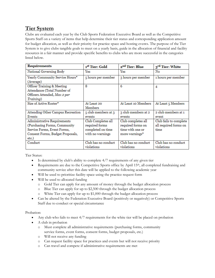# <span id="page-23-0"></span>**Tier System**

Clubs are evaluated each year by the Club Sports Federation Executive Board as well as the Competitive Sports Staff on a variety of items that help determine their tier status and corresponding application amount for budget allocation, as well as their priority for practice space and hosting events. The purpose of the Tier System is to give clubs tangible goals to meet on a yearly basis, guide in the allocation of financial and facility resources in a fair manner and provide specific benefits to clubs who are more successful in the categories listed below.

| <b>Requirements</b>                                                                                                                      | 1st Tier: Gold                                                                | 2 <sup>nd</sup> Tier: Blue                                                                | 3 <sup>rd</sup> Tier: White                             |
|------------------------------------------------------------------------------------------------------------------------------------------|-------------------------------------------------------------------------------|-------------------------------------------------------------------------------------------|---------------------------------------------------------|
| National Governing Body                                                                                                                  | Yes                                                                           | Yes                                                                                       | No                                                      |
| Yearly Community Service Hours*<br>(Average)                                                                                             | 5 hours per member                                                            | 3 hours per member                                                                        | 1 hours per member                                      |
| Officer Training & Meeting<br>Attendance (Total Number of<br>Officers Attended, Max 2 per<br>Training)                                   | 8                                                                             | 6                                                                                         | 4                                                       |
| Size of Active Roster*                                                                                                                   | At Least 20<br>Members                                                        | At Least 10 Members                                                                       | At Least 5 Members                                      |
| Attending Other Campus Recreation<br>Events                                                                                              | 5 club members at 3<br>events                                                 | 3 club members at 2<br>events                                                             | 2 club members at 1<br>event                            |
| Administrative Requirements<br>(Purchasing Forms, Community)<br>Service Forms, Event Forms,<br>Consent Forms, Budget Proposals,<br>etc.) | Club Completes all<br>required forms<br>completed on time<br>with no warnings | Club completes all<br>required forms on<br>time with one or<br>more warnings <sup>*</sup> | Club fails to complete<br>all required forms on<br>time |
| Conduct                                                                                                                                  | Club has no conduct<br>violations                                             | Club has no conduct<br>violations                                                         | Club has no conduct<br>violations                       |

Tier Status:

- Is determined by club's ability to complete 4/7 requirements of any given tier
- Requirements are due to the Competitive Sports office by April 15<sup>th</sup>, all completed fundraising and community service after this date will be applied to the following academic year
- Will be used to prioritize facility space using the practice request form
- Will be used to allocated funding
	- o Gold Tier can apply for any amount of money through the budget allocation process
	- o Blue Tier can apply for up to \$2,500 through the budget allocation process
	- o White Tier can apply for up to \$1,000 through the budget allocation process
- Can be altered by the Federation Executive Board (positively or negatively) or Competitive Sports Staff due to conduct or special circumstance

Probation:

- Any club who fails to meet 4/7 requirements for the white tier will be placed on probation
- A club in probation
	- o Must complete all administrative requirements (purchasing forms, community service forms, event forms, consent forms, budget proposals, etc.)
	- o Will not receive any funding
	- o Can request facility space for practices and events but will not receive priority
	- o Can travel and compete if administrative requirements are met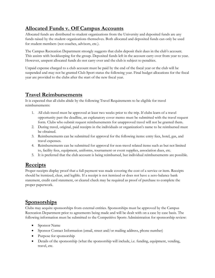# <span id="page-24-0"></span>**Allocated Funds v. Off Campus Accounts**

Allocated funds are distributed to student organizations from the University and deposited funds are any funds raised by the student organizations themselves. Both allocated and deposited funds can only be used for student members (not coaches, advisors, etc.).

The Campus Recreation Department strongly suggests that clubs deposit their dues in the club's account. This assists with bookkeeping for the group. Deposited funds left in the account carry over from year to year. However, unspent allocated funds do not carry over and the club is subject to penalties.

Unpaid expense charged to a club account must be paid by the end of the fiscal year or the club will be suspended and may not be granted Club Sport status the following year. Final budget allocations for the fiscal year are provided to the clubs after the start of the new fiscal year.

# <span id="page-24-1"></span>**Travel Reimbursements**

It is expected that all clubs abide by the following Travel Requirements to be eligible for travel reimbursements:

- 1. All club travel must be approved at least two weeks prior to the trip. If clubs learn of a travel opportunity past the deadline, an explanatory cover memo must be submitted with the travel request form. Clubs who submit request reimbursements for unapproved travel will not be granted them.
- 2. During travel, original, paid receipts in the individuals or organization's name to be reimbursed must be obtained.
- 3. Reimbursements can be submitted for approval for the following items: entry fees, hotel, gas, and travel expenses.
- 4. Reimbursements can be submitted for approval for non-travel related items such as but not limited to, facility fees, equipment, uniforms, tournament or event supplies, association dues, etc.
- 5. It is preferred that the club account is being reimbursed, but individual reimbursements are possible.

# <span id="page-24-2"></span>**Receipts**

Proper receipts display proof that a full payment was made covering the cost of a service or item. Receipts should be itemized, clear, and legible. If a receipt is not itemized or does not have a zero-balance bank statement, credit card statement, or cleared check may be required as proof of purchase to complete the proper paperwork.

# <span id="page-24-3"></span>**Sponsorships**

Clubs may acquire sponsorships from external entities. Sponsorships must be approved by the Campus Recreation Department prior to agreements being made and will be dealt with on a case by case basis. The following information must be submitted to the Competitive Sports Administration for sponsorship review:

- Sponsor Name
- Sponsor Contact Information (email, street and/or mailing address, phone number)
- Purpose for sponsorship
- Details of the sponsorship (what the sponsorship will include, i.e. funding, equipment, vending, travel, etc.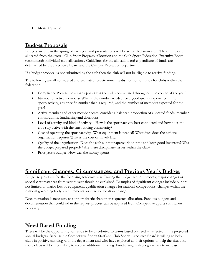• Monetary value

#### <span id="page-25-0"></span>**Budget Proposals**

Budgets are due in the spring of each year and presentations will be scheduled soon after. These funds are allocated from the overall Club Sport Program Allocation and the Club Sport Federation Executive Board recommends individual club allocations. Guidelines for the allocation and expenditure of funds are determined by the Executive Board and the Campus Recreation department.

If a budget proposal is not submitted by the club then the club will not be eligible to receive funding.

The following are all considered and evaluated to determine the distribution of funds for clubs within the federation

- Compliance Points- How many points has the club accumulated throughout the course of the year?
- Number of active members- What is the number needed for a good quality experience in the sport/activity, any specific number that is required, and the number of members expected for the year?
- Active member and other member costs- consider a balanced proportion of allocated funds, member contributions, fundraising and donations
- Level of activity and kind of activity How is the sport/activity best conducted and how does the club stay active with the surrounding community?
- Cost of operating the sport/activity-What equipment is needed? What dues does the national organization require? What is the cost of travel? Etc.
- Quality of the organization- Does the club submit paperwork on time and keep good inventory? Was the budget prepared properly? Are there disciplinary issues within the club?
- Prior year's budget- How was the money spent?

#### <span id="page-25-1"></span>**Significant Changes, Circumstances, and Previous Year's Budget**

Budget requests are for the following academic year. During the budget request process, major changes or special circumstances from year to year should be explained. Examples of significant changes include but are not limited to, major loss of equipment, qualification changes for national competitions, changes within the national governing body's requirements, or practice location changes.

Documentation is necessary to support drastic changes in requested allocation. Previous budgets and documentation that could aid in the request process can be acquired from Competitive Sports staff when necessary.

# <span id="page-25-2"></span>**Need Based Funding**

There will be the opportunity for funds to be distributed to teams based on need as reflected in the projected annual budgets. Because the Competitive Sports Staff and Club Sports Executive Board is willing to help clubs in positive standing with the department and who have explored all their options to help the situation, those clubs will be more likely to receive additional funding. Fundraising is also a great way to increase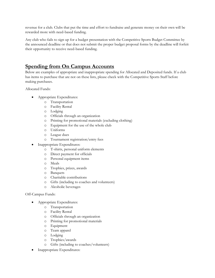revenue for a club. Clubs that put the time and effort to fundraise and generate money on their own will be rewarded more with need-based funding.

Any club who fails to sign up for a budget presentation with the Competitive Sports Budget Committee by the announced deadline or that does not submit the proper budget proposal forms by the deadline will forfeit their opportunity to receive need-based funding.

### <span id="page-26-0"></span>**Spending from On Campus Accounts**

Below are examples of appropriate and inappropriate spending for Allocated and Deposited funds. If a club has items to purchase that are not on these lists, please check with the Competitive Sports Staff before making purchases.

Allocated Funds:

- Appropriate Expenditures:
	- o Transportation
	- o Facility Rental
	- o Lodging
	- o Officials through an organization
	- o Printing for promotional materials (excluding clothing)
	- o Equipment for the use of the whole club
	- o Uniforms
	- o League dues
	- o Tournament registration/entry fees
- Inappropriate Expenditures:
	- o T-shirts, personal uniform elements
	- o Direct payment for officials
	- o Personal equipment items
	- o Meals
	- o Trophies, prizes, awards
	- o Banquets
	- o Charitable contributions
	- o Gifts (including to coaches and volunteers)
	- o Alcoholic beverages

#### Off-Campus Funds:

- Appropriate Expenditures:
	- o Transportation
	- o Facility Rental
	- o Officials through an organization
	- o Printing for promotional materials
	- o Equipment
	- o Team apparel
	- o Lodging
	- o Trophies/awards
	- o Gifts (including to coaches/volunteers)
- Inappropriate Expenditures: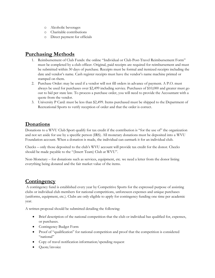- o Alcoholic beverages
- o Charitable contributions
- o Direct payment for officials

#### <span id="page-27-0"></span>**Purchasing Methods**

- 1. Reimbursement of Club Funds: the online "Individual or Club Post-Travel Reimbursement Form" must be completed by a club officer. Original, paid receipts are required for reimbursement and must be submitted within 30 days of purchase. Receipts must be formal and itemized receipts including the date and vendor's name. Cash register receipts must have the vendor's name machine printed or stamped on them.
- 2. Purchase Order: may be used if a vendor will not fill orders in advance of payment. A P.O. must always be used for purchases over \$2,499 including service. Purchases of \$10,000 and greater must go out to bid per state law. To process a purchase order, you will need to provide the Accountant with a quote from the vendor.
- 3. University P Card: must be less than \$2,499. Items purchased must be shipped to the Department of Recreational Sports to verify reception of order and that the order is correct.

# <span id="page-27-1"></span>**Donations**

Donations to a WVU Club Sport qualify for tax credit if the contribution is "for the use of" the organization and not set aside for use by a specific person (IRS). All monetary donations must be deposited into a WVU Foundation account. When a donation is made, the individual can earmark it for an individual club.

Checks – only those deposited to the club's WVU account will provide tax credit for the donor. Checks should be made payable to the "(Insert Team) Club at WVU".

Non-Monetary – for donations such as services, equipment, etc. we need a letter from the donor listing everything being donated and the fair market value of the items.

# <span id="page-27-2"></span>**Contingency**

A contingency fund is established every year by Competitive Sports for the expressed purpose of assisting clubs or individual club members for national competitions, unforeseen expenses and unique purchases (uniforms, equipment, etc.). Clubs are only eligible to apply for contingency funding one time per academic year.

A written proposal should be submitted detailing the following:

- Brief description of the national competition that the club or individual has qualified for, expenses, or purchases.
- Contingency Budget Form
- Proof of "qualification" for national competition and proof that the competition is considered "national"
- Copy of travel notification information/spending request
- Quote/invoice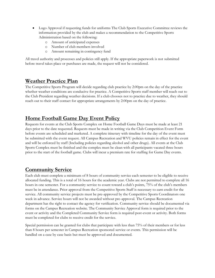- Logo Approval if requesting funds for uniforms The Club Sports Executive Committee reviews the information provided by the club and makes a recommendation to the Competitive Sports Administration based on the following:
	- o Amount of anticipated expenses
	- o Number of club members involved
	- o Amount remaining in contingency fund

All travel authority and processes and policies still apply. If the appropriate paperwork is not submitted before travel takes place or purchases are made, the request will not be considered.

#### <span id="page-28-0"></span>**Weather Practice Plan**

The Competitive Sports Program will decide regarding club practice by 2:00pm on the day of the practice whether weather conditions are conducive for practice. A Competitive Sports staff member will reach out to the Club President regarding weather decisions. If a club chooses not to practice due to weather, they should reach out to their staff contact for appropriate arrangements by 2:00pm on the day of practice.

### <span id="page-28-1"></span>**Home Football Game Day Event Policy**

Requests for events at the Club Sports Complex on Home Football Game Days must be made at least 21 days prior to the date requested. Requests must be made in writing via the Club Competition Event Form before events are scheduled and marketed. A complete itinerary with timeline for the day of the event must be submitted with the event request. All Campus Recreation and WVU policies remain in effect for the event and will be enforced by staff (Including policies regarding alcohol and other drugs). All events at the Club Sports Complex must be finished and the complex must be clean with all participants vacated three hours prior to the start of the football game. Clubs will incur a premium rate for staffing for Game Day events.

# <span id="page-28-2"></span>**Community Service**

Each club must complete a minimum of 8 hours of community service each semester to be eligible to receive allocated funding. This is a total of 16 hours for the academic year. Clubs are not permitted to complete all 16 hours in one semester. For a community service to count toward a club's points, 75% of the club's members must be in attendance. Prior approval from the Competitive Sports Staff is necessary to earn credit for the service. All community service projects must be pre-approved by the Competitive Sports Coordinators one week in advance. Service hours will not be awarded without pre-approval. The Campus Recreation department has the right to contact the agency for verification. Community service should be documented via forms on the Campus Recreation website. The Community Service Approval form is required prior to the event or activity and the Completed Community Service form is required post-event or activity. Both forms must be completed for clubs to receive credit for the service.

Special permission can be granted for clubs that participate with less than 75% of their members or for less than 8 hours per semester in Campus Recreation sponsored service or events. This permission will be handled on a case by case basis but must be approved and documented.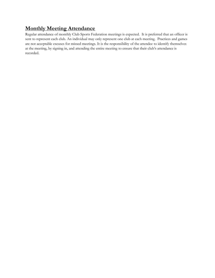# <span id="page-29-0"></span>**Monthly Meeting Attendance**

Regular attendance of monthly Club Sports Federation meetings is expected. It is preferred that an officer is sent to represent each club. An individual may only represent one club at each meeting. Practices and games are not acceptable excuses for missed meetings. It is the responsibility of the attendee to identify themselves at the meeting, by signing in, and attending the entire meeting to ensure that their club's attendance is recorded.